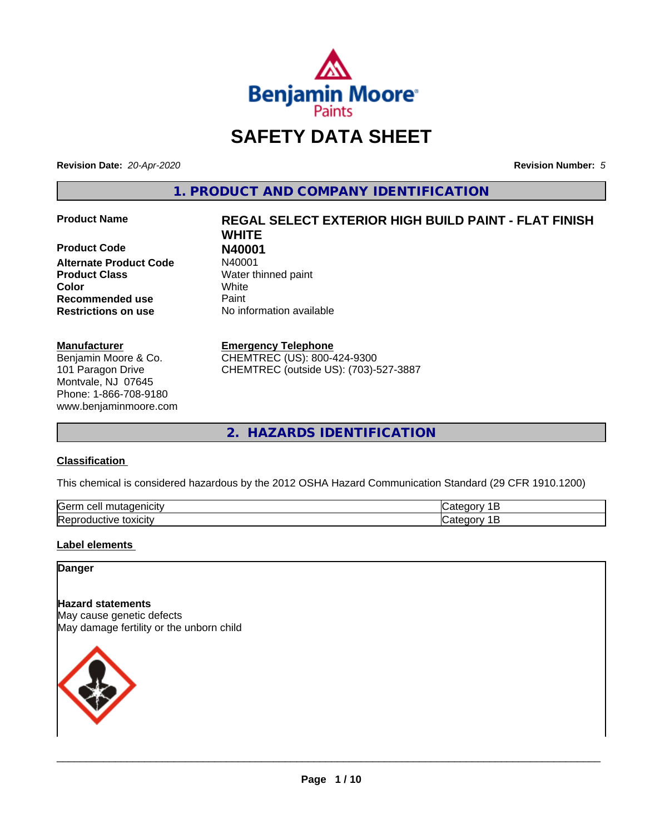

# **SAFETY DATA SHEET**

**Revision Date:** *20-Apr-2020* **Revision Number:** *5*

**1. PRODUCT AND COMPANY IDENTIFICATION**

**Product Code N40001 Alternate Product Code Product Class** Water thinned paint **Color** White **Recommended use Caint Restrictions on use** No information available

#### **Manufacturer**

Benjamin Moore & Co. 101 Paragon Drive Montvale, NJ 07645 Phone: 1-866-708-9180 www.benjaminmoore.com

# **Product Name REGAL SELECT EXTERIOR HIGH BUILD PAINT - FLAT FINISH WHITE**

#### **Emergency Telephone**

CHEMTREC (US): 800-424-9300 CHEMTREC (outside US): (703)-527-3887

**2. HAZARDS IDENTIFICATION**

#### **Classification**

This chemical is considered hazardous by the 2012 OSHA Hazard Communication Standard (29 CFR 1910.1200)

| <b>Serr</b><br>$-$<br>$\cdot$         |  |
|---------------------------------------|--|
| <b>Re</b><br>*OXICItV<br>11<br>и<br>ш |  |

#### **Label elements**

#### **Danger**

**Hazard statements** May cause genetic defects May damage fertility or the unborn child

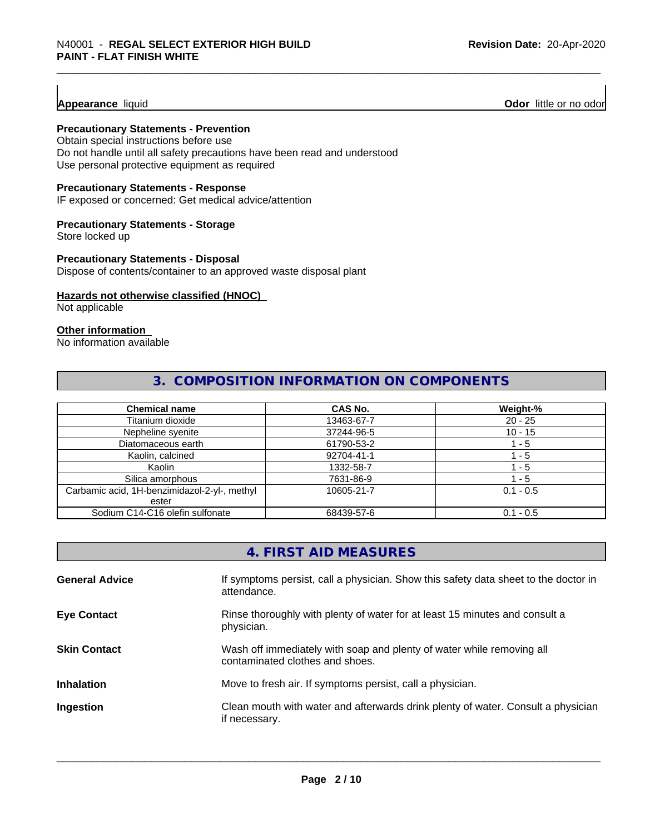**Appearance** liquid **Odor 11** Odor little or no odor

#### **Precautionary Statements - Prevention**

Obtain special instructions before use Do not handle until all safety precautions have been read and understood Use personal protective equipment as required

#### **Precautionary Statements - Response**

IF exposed or concerned: Get medical advice/attention

#### **Precautionary Statements - Storage**

Store locked up

#### **Precautionary Statements - Disposal**

Dispose of contents/container to an approved waste disposal plant

#### **Hazards not otherwise classified (HNOC)**

Not applicable

#### **Other information**

No information available

#### **3. COMPOSITION INFORMATION ON COMPONENTS**

| <b>Chemical name</b>                         | <b>CAS No.</b> | Weight-%    |
|----------------------------------------------|----------------|-------------|
| Titanium dioxide                             | 13463-67-7     | $20 - 25$   |
| Nepheline syenite                            | 37244-96-5     | $10 - 15$   |
| Diatomaceous earth                           | 61790-53-2     | ' - 5       |
| Kaolin, calcined                             | 92704-41-1     | - 5         |
| Kaolin                                       | 1332-58-7      | 1 - 5       |
| Silica amorphous                             | 7631-86-9      | $-5$        |
| Carbamic acid, 1H-benzimidazol-2-yl-, methyl | 10605-21-7     | $0.1 - 0.5$ |
| ester                                        |                |             |
| Sodium C14-C16 olefin sulfonate              | 68439-57-6     | $0.1 - 0.5$ |

|                       | 4. FIRST AID MEASURES                                                                                    |
|-----------------------|----------------------------------------------------------------------------------------------------------|
| <b>General Advice</b> | If symptoms persist, call a physician. Show this safety data sheet to the doctor in<br>attendance.       |
| <b>Eye Contact</b>    | Rinse thoroughly with plenty of water for at least 15 minutes and consult a<br>physician.                |
| <b>Skin Contact</b>   | Wash off immediately with soap and plenty of water while removing all<br>contaminated clothes and shoes. |
| <b>Inhalation</b>     | Move to fresh air. If symptoms persist, call a physician.                                                |
| Ingestion             | Clean mouth with water and afterwards drink plenty of water. Consult a physician<br>if necessary.        |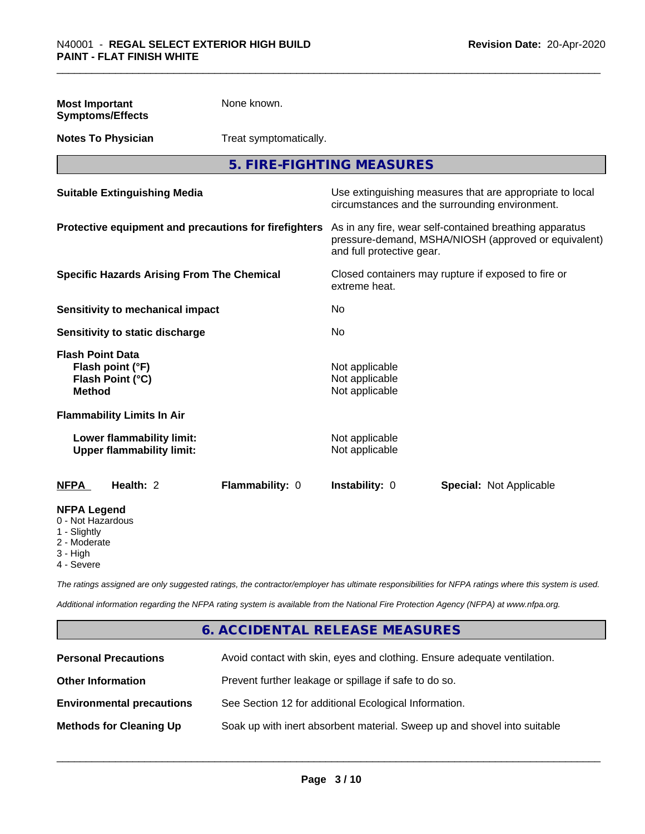| <b>Most Important</b><br><b>Symptoms/Effects</b>                                                  | None known.            |                                                    |                                                                                                                 |
|---------------------------------------------------------------------------------------------------|------------------------|----------------------------------------------------|-----------------------------------------------------------------------------------------------------------------|
| <b>Notes To Physician</b>                                                                         | Treat symptomatically. |                                                    |                                                                                                                 |
|                                                                                                   |                        | 5. FIRE-FIGHTING MEASURES                          |                                                                                                                 |
| <b>Suitable Extinguishing Media</b>                                                               |                        |                                                    | Use extinguishing measures that are appropriate to local<br>circumstances and the surrounding environment.      |
| Protective equipment and precautions for firefighters                                             |                        | and full protective gear.                          | As in any fire, wear self-contained breathing apparatus<br>pressure-demand, MSHA/NIOSH (approved or equivalent) |
| <b>Specific Hazards Arising From The Chemical</b>                                                 |                        | extreme heat.                                      | Closed containers may rupture if exposed to fire or                                                             |
| Sensitivity to mechanical impact                                                                  |                        | No                                                 |                                                                                                                 |
| Sensitivity to static discharge                                                                   |                        | <b>No</b>                                          |                                                                                                                 |
| <b>Flash Point Data</b><br>Flash point (°F)<br>Flash Point (°C)<br><b>Method</b>                  |                        | Not applicable<br>Not applicable<br>Not applicable |                                                                                                                 |
| <b>Flammability Limits In Air</b>                                                                 |                        |                                                    |                                                                                                                 |
| Lower flammability limit:<br><b>Upper flammability limit:</b>                                     |                        | Not applicable<br>Not applicable                   |                                                                                                                 |
| Health: 2<br><b>NFPA</b>                                                                          | Flammability: 0        | Instability: 0                                     | <b>Special: Not Applicable</b>                                                                                  |
| <b>NFPA Legend</b><br>0 - Not Hazardous<br>1 - Slightly<br>2 - Moderate<br>3 - High<br>4 - Severe |                        |                                                    |                                                                                                                 |

*The ratings assigned are only suggested ratings, the contractor/employer has ultimate responsibilities for NFPA ratings where this system is used.*

*Additional information regarding the NFPA rating system is available from the National Fire Protection Agency (NFPA) at www.nfpa.org.*

# **6. ACCIDENTAL RELEASE MEASURES**

| <b>Personal Precautions</b>      | Avoid contact with skin, eyes and clothing. Ensure adequate ventilation. |
|----------------------------------|--------------------------------------------------------------------------|
| <b>Other Information</b>         | Prevent further leakage or spillage if safe to do so.                    |
| <b>Environmental precautions</b> | See Section 12 for additional Ecological Information.                    |
| <b>Methods for Cleaning Up</b>   | Soak up with inert absorbent material. Sweep up and shovel into suitable |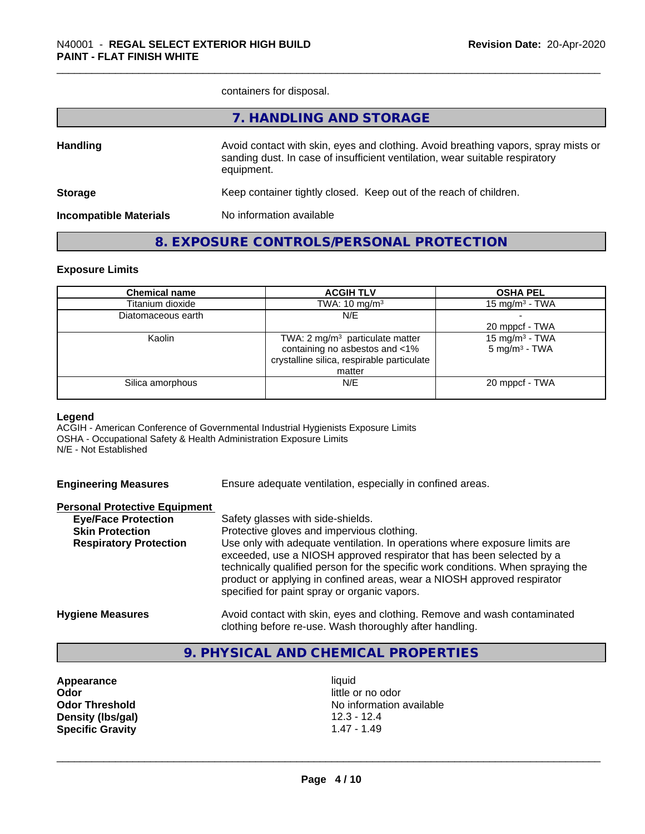containers for disposal.

|                               | 7. HANDLING AND STORAGE                                                                                                                                                          |
|-------------------------------|----------------------------------------------------------------------------------------------------------------------------------------------------------------------------------|
| <b>Handling</b>               | Avoid contact with skin, eyes and clothing. Avoid breathing vapors, spray mists or<br>sanding dust. In case of insufficient ventilation, wear suitable respiratory<br>equipment. |
| <b>Storage</b>                | Keep container tightly closed. Keep out of the reach of children.                                                                                                                |
| <b>Incompatible Materials</b> | No information available                                                                                                                                                         |
|                               |                                                                                                                                                                                  |

### **8. EXPOSURE CONTROLS/PERSONAL PROTECTION**

#### **Exposure Limits**

| <b>Chemical name</b> | <b>ACGIH TLV</b>                            | <b>OSHA PEL</b>            |
|----------------------|---------------------------------------------|----------------------------|
| Titanium dioxide     | TWA: $10 \text{ mg/m}^3$                    | 15 mg/m $3$ - TWA          |
| Diatomaceous earth   | N/E                                         |                            |
|                      |                                             | 20 mppcf - TWA             |
| Kaolin               | TWA: 2 mg/m <sup>3</sup> particulate matter | 15 mg/m <sup>3</sup> - TWA |
|                      | containing no asbestos and <1%              | $5 \text{ mg/m}^3$ - TWA   |
|                      | crystalline silica, respirable particulate  |                            |
|                      | matter                                      |                            |
| Silica amorphous     | N/E                                         | 20 mppcf - TWA             |
|                      |                                             |                            |

#### **Legend**

ACGIH - American Conference of Governmental Industrial Hygienists Exposure Limits OSHA - Occupational Safety & Health Administration Exposure Limits N/E - Not Established

| <b>Engineering Measures</b> | Ensure adequate ventilation, especially in confined areas. |  |  |  |
|-----------------------------|------------------------------------------------------------|--|--|--|
|                             |                                                            |  |  |  |

| <b>Personal Protective Equipment</b> |                                                                                                                                                                                                                                                                                                                                                                     |
|--------------------------------------|---------------------------------------------------------------------------------------------------------------------------------------------------------------------------------------------------------------------------------------------------------------------------------------------------------------------------------------------------------------------|
| <b>Eye/Face Protection</b>           | Safety glasses with side-shields.                                                                                                                                                                                                                                                                                                                                   |
| <b>Skin Protection</b>               | Protective gloves and impervious clothing.                                                                                                                                                                                                                                                                                                                          |
| <b>Respiratory Protection</b>        | Use only with adequate ventilation. In operations where exposure limits are<br>exceeded, use a NIOSH approved respirator that has been selected by a<br>technically qualified person for the specific work conditions. When spraying the<br>product or applying in confined areas, wear a NIOSH approved respirator<br>specified for paint spray or organic vapors. |
| <b>Hygiene Measures</b>              | Avoid contact with skin, eyes and clothing. Remove and wash contaminated                                                                                                                                                                                                                                                                                            |

#### clothing before re-use. Wash thoroughly after handling.

# **9. PHYSICAL AND CHEMICAL PROPERTIES**

Appearance liquid **Odor** little or no odor **Density (Ibs/gal)** 12.3 - 12.4<br> **Specific Gravity** 1.47 - 1.49 **Specific Gravity** 

**Odor Threshold** No information available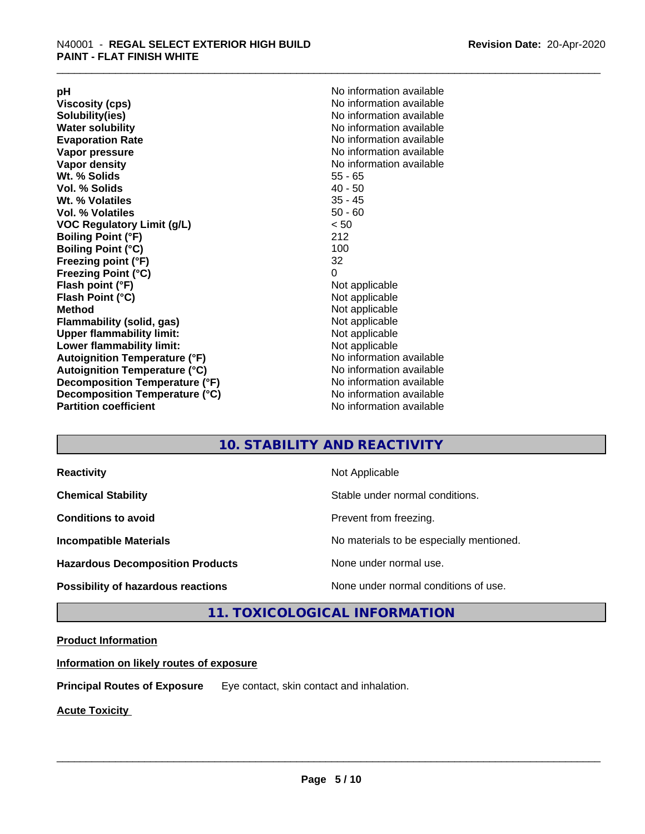**Viscosity (cps)** <br> **Viscosity (cps)** No information available<br>
No information available<br>
No information available **Water solubility**<br> **Evaporation Rate**<br> **Evaporation Rate**<br> **Evaporation Rate Vapor pressure** No information available **Vapor density No information available No information available Wt. % Solids** 55 - 65<br> **Vol. % Solids** 55 - 65 **Vol. % Solids Wt. % Volatiles** 35 - 45 **Vol. % Volatiles** 50 - 60 **VOC Regulatory Limit (g/L)** < 50 **Boiling Point (°F)** 212 **Boiling Point (°C) Freezing point (°F)** 32 **Freezing Point (°C)** 0 **Flash point (°F)** Not applicable **Flash Point (°C)** Not applicable **Method**<br> **Flammability (solid, gas)**<br> **Example 2018** Not applicable **Flammability** (solid, gas) **Upper flammability limit:** Not applicable **Lower flammability limit:** Not applicable **Autoignition Temperature (°F)** No information available **Autoignition Temperature (°C)** No information available **Decomposition Temperature (°F)** No information available **Decomposition Temperature (°C)** No information available<br> **Partition coefficient Partition available** 

**pH**<br>
Viscosity (cps) The Contract of the Contract of No information available<br>
No information available **Solubility(ies)** No information available **Evaporation Rate** No information available **No information available** 

### **10. STABILITY AND REACTIVITY**

| <b>Reactivity</b>                         | Not Applicable                           |
|-------------------------------------------|------------------------------------------|
| <b>Chemical Stability</b>                 | Stable under normal conditions.          |
| <b>Conditions to avoid</b>                | Prevent from freezing.                   |
| <b>Incompatible Materials</b>             | No materials to be especially mentioned. |
| <b>Hazardous Decomposition Products</b>   | None under normal use.                   |
| <b>Possibility of hazardous reactions</b> | None under normal conditions of use.     |

### **11. TOXICOLOGICAL INFORMATION**

#### **Product Information**

**Information on likely routes of exposure**

**Principal Routes of Exposure** Eye contact, skin contact and inhalation.

**Acute Toxicity**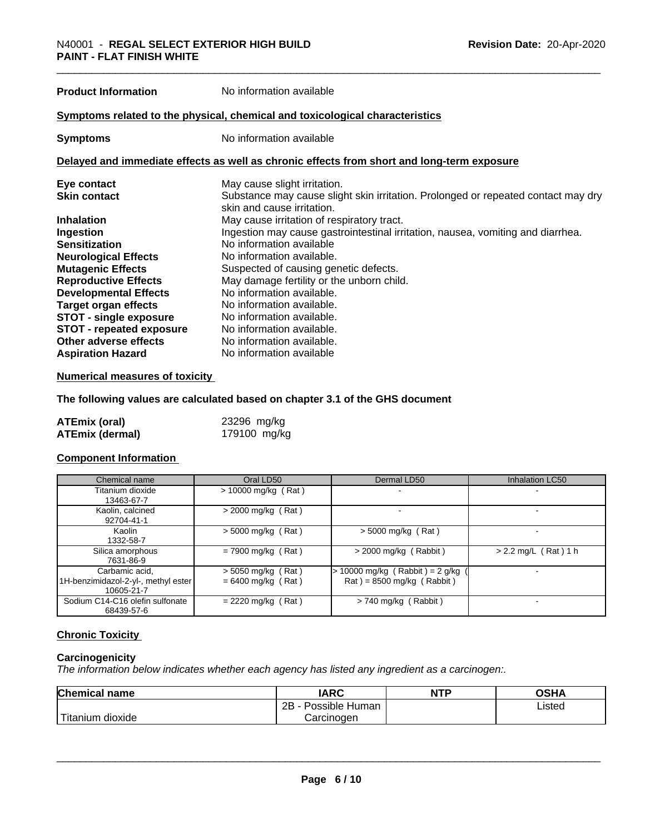**Product Information** No information available

#### **Symptoms related to the physical,chemical and toxicological characteristics**

**Symptoms** No information available

#### **Delayed and immediate effects as well as chronic effects from short and long-term exposure**

| Eye contact                     | May cause slight irritation.                                                      |
|---------------------------------|-----------------------------------------------------------------------------------|
| <b>Skin contact</b>             | Substance may cause slight skin irritation. Prolonged or repeated contact may dry |
|                                 | skin and cause irritation.                                                        |
| <b>Inhalation</b>               | May cause irritation of respiratory tract.                                        |
| Ingestion                       | Ingestion may cause gastrointestinal irritation, nausea, vomiting and diarrhea.   |
| <b>Sensitization</b>            | No information available                                                          |
| <b>Neurological Effects</b>     | No information available.                                                         |
| <b>Mutagenic Effects</b>        | Suspected of causing genetic defects.                                             |
| <b>Reproductive Effects</b>     | May damage fertility or the unborn child.                                         |
| <b>Developmental Effects</b>    | No information available.                                                         |
| Target organ effects            | No information available.                                                         |
| <b>STOT - single exposure</b>   | No information available.                                                         |
| <b>STOT - repeated exposure</b> | No information available.                                                         |
| Other adverse effects           | No information available.                                                         |
| <b>Aspiration Hazard</b>        | No information available                                                          |

#### **Numerical measures of toxicity**

#### **The following values are calculated based on chapter 3.1 of the GHS document**

| ATEmix (oral)          | 23296 mg/kg  |
|------------------------|--------------|
| <b>ATEmix (dermal)</b> | 179100 mg/kg |

#### **Component Information**

| Chemical name                                                       | Oral LD50                                    | Dermal LD50                                                                              | <b>Inhalation LC50</b> |
|---------------------------------------------------------------------|----------------------------------------------|------------------------------------------------------------------------------------------|------------------------|
| Titanium dioxide<br>13463-67-7                                      | $> 10000$ mg/kg (Rat)                        |                                                                                          |                        |
| Kaolin, calcined<br>92704-41-1                                      | $>$ 2000 mg/kg (Rat)                         |                                                                                          |                        |
| Kaolin<br>1332-58-7                                                 | $>$ 5000 mg/kg (Rat)                         | $>$ 5000 mg/kg (Rat)                                                                     |                        |
| Silica amorphous<br>7631-86-9                                       | $= 7900$ mg/kg (Rat)                         | $>$ 2000 mg/kg (Rabbit)                                                                  | $> 2.2$ mg/L (Rat) 1 h |
| Carbamic acid,<br>1H-benzimidazol-2-yl-, methyl ester<br>10605-21-7 | $>$ 5050 mg/kg (Rat)<br>$= 6400$ mg/kg (Rat) | $\cdot$ 10000 mg/kg (Rabbit) = 2 g/kg<br>$\text{Rat}$ ) = 8500 mg/kg ( $\text{Rabbit}$ ) |                        |
| Sodium C14-C16 olefin sulfonate<br>68439-57-6                       | $= 2220$ mg/kg (Rat)                         | $> 740$ mg/kg (Rabbit)                                                                   |                        |

#### **Chronic Toxicity**

#### **Carcinogenicity**

*The information below indicateswhether each agency has listed any ingredient as a carcinogen:.*

| Chemical<br>name                                                                                                                                      | <b>IARC</b>                   | <b>NTP</b> | ∩≏⊔∧<br>∪אח |
|-------------------------------------------------------------------------------------------------------------------------------------------------------|-------------------------------|------------|-------------|
|                                                                                                                                                       | <br>2P<br>Possible<br>· Human |            | Listed      |
| <b>The Contract of the Contract of the Contract of the Contract of the Contract of the Contract of the Contract o</b><br>n dioxide<br><b>fitanium</b> | Carcinoɑen                    |            |             |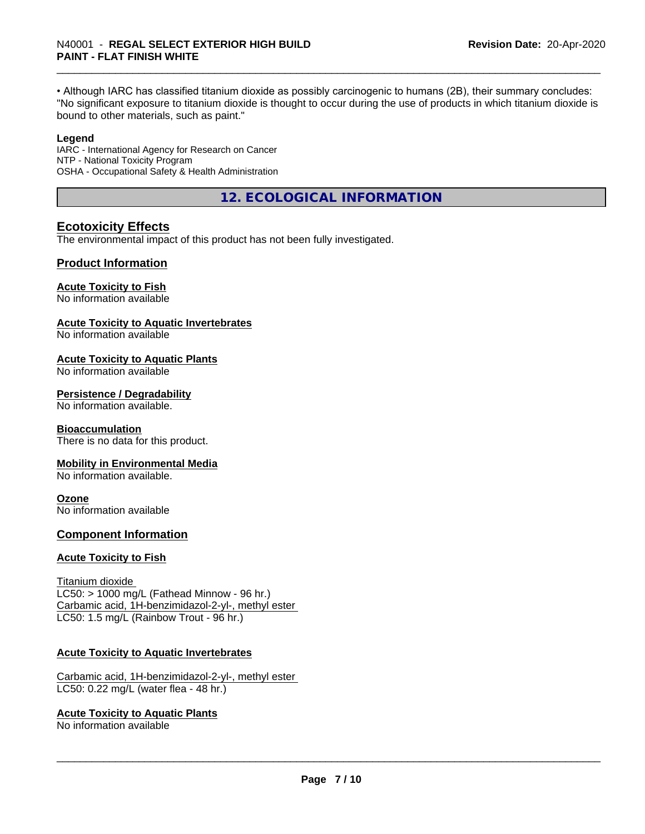• Although IARC has classified titanium dioxide as possibly carcinogenic to humans (2B), their summary concludes: "No significant exposure to titanium dioxide is thought to occur during the use of products in which titanium dioxide is bound to other materials, such as paint."

#### **Legend**

IARC - International Agency for Research on Cancer NTP - National Toxicity Program OSHA - Occupational Safety & Health Administration

**12. ECOLOGICAL INFORMATION**

#### **Ecotoxicity Effects**

The environmental impact of this product has not been fully investigated.

#### **Product Information**

#### **Acute Toxicity to Fish**

No information available

#### **Acute Toxicity to Aquatic Invertebrates**

No information available

#### **Acute Toxicity to Aquatic Plants**

No information available

#### **Persistence / Degradability**

No information available.

#### **Bioaccumulation**

There is no data for this product.

#### **Mobility in Environmental Media**

No information available.

#### **Ozone**

No information available

#### **Component Information**

#### **Acute Toxicity to Fish**

Titanium dioxide  $LC50:$  > 1000 mg/L (Fathead Minnow - 96 hr.) Carbamic acid, 1H-benzimidazol-2-yl-, methyl ester LC50: 1.5 mg/L (Rainbow Trout - 96 hr.)

#### **Acute Toxicity to Aquatic Invertebrates**

Carbamic acid, 1H-benzimidazol-2-yl-, methyl ester LC50: 0.22 mg/L (water flea - 48 hr.)

#### **Acute Toxicity to Aquatic Plants**

No information available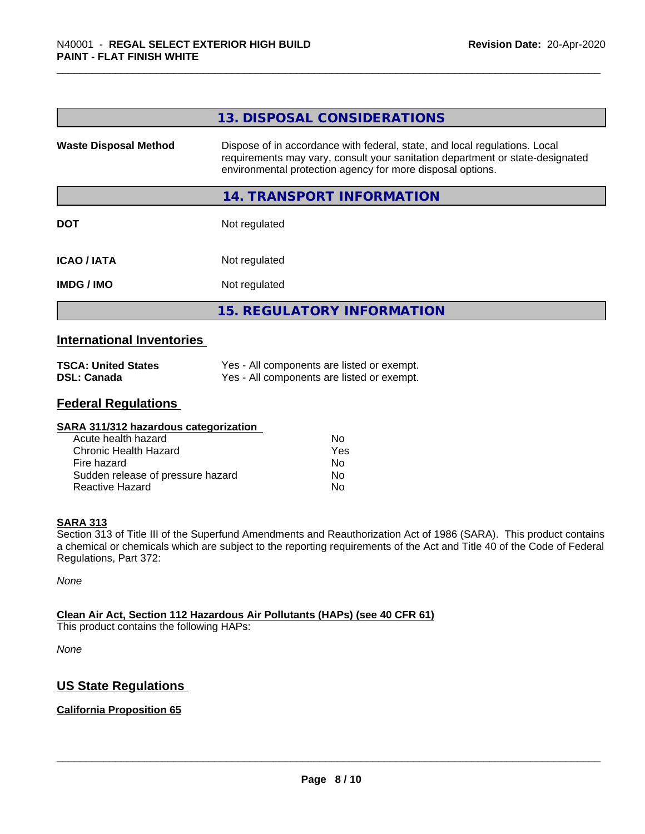|                              | 13. DISPOSAL CONSIDERATIONS                                                                                                                                                                                               |
|------------------------------|---------------------------------------------------------------------------------------------------------------------------------------------------------------------------------------------------------------------------|
| <b>Waste Disposal Method</b> | Dispose of in accordance with federal, state, and local regulations. Local<br>requirements may vary, consult your sanitation department or state-designated<br>environmental protection agency for more disposal options. |
|                              | 14. TRANSPORT INFORMATION                                                                                                                                                                                                 |
| <b>DOT</b>                   | Not regulated                                                                                                                                                                                                             |
| <b>ICAO / IATA</b>           | Not regulated                                                                                                                                                                                                             |
| <b>IMDG / IMO</b>            | Not regulated                                                                                                                                                                                                             |
|                              | <b>15. REGULATORY INFORMATION</b>                                                                                                                                                                                         |

#### **International Inventories**

| <b>TSCA: United States</b> | Yes - All components are listed or exempt. |
|----------------------------|--------------------------------------------|
| <b>DSL: Canada</b>         | Yes - All components are listed or exempt. |

#### **Federal Regulations**

| Nο  |  |
|-----|--|
| Yes |  |
| No  |  |
| Nο  |  |
| No  |  |
|     |  |

#### **SARA 313**

Section 313 of Title III of the Superfund Amendments and Reauthorization Act of 1986 (SARA). This product contains a chemical or chemicals which are subject to the reporting requirements of the Act and Title 40 of the Code of Federal Regulations, Part 372:

*None*

#### **Clean Air Act,Section 112 Hazardous Air Pollutants (HAPs) (see 40 CFR 61)**

This product contains the following HAPs:

*None*

### **US State Regulations**

#### **California Proposition 65**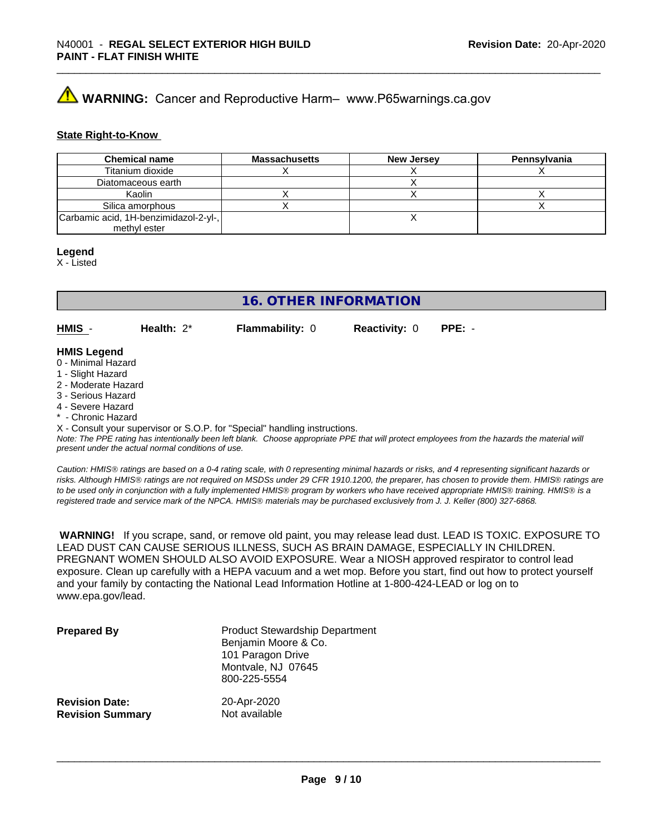# **AVIMARNING:** Cancer and Reproductive Harm– www.P65warnings.ca.gov

#### **State Right-to-Know**

| <b>Chemical name</b>                  | <b>Massachusetts</b> | <b>New Jersey</b> | Pennsylvania |
|---------------------------------------|----------------------|-------------------|--------------|
| Titanium dioxide                      |                      |                   |              |
| Diatomaceous earth                    |                      |                   |              |
| Kaolin                                |                      |                   |              |
| Silica amorphous                      |                      |                   |              |
| Carbamic acid, 1H-benzimidazol-2-yl-, |                      |                   |              |
| methyl ester                          |                      |                   |              |

#### **Legend**

X - Listed

### **16. OTHER INFORMATION**

**HMIS** - **Health:** 2\* **Flammability:** 0 **Reactivity:** 0 **PPE:** -

#### **HMIS Legend**

- 0 Minimal Hazard
- 1 Slight Hazard
- 2 Moderate Hazard
- 3 Serious Hazard
- 4 Severe Hazard
- \* Chronic Hazard

X - Consult your supervisor or S.O.P. for "Special" handling instructions.

*Note: The PPE rating has intentionally been left blank. Choose appropriate PPE that will protect employees from the hazards the material will present under the actual normal conditions of use.*

*Caution: HMISÒ ratings are based on a 0-4 rating scale, with 0 representing minimal hazards or risks, and 4 representing significant hazards or risks. Although HMISÒ ratings are not required on MSDSs under 29 CFR 1910.1200, the preparer, has chosen to provide them. HMISÒ ratings are to be used only in conjunction with a fully implemented HMISÒ program by workers who have received appropriate HMISÒ training. HMISÒ is a registered trade and service mark of the NPCA. HMISÒ materials may be purchased exclusively from J. J. Keller (800) 327-6868.*

 **WARNING!** If you scrape, sand, or remove old paint, you may release lead dust. LEAD IS TOXIC. EXPOSURE TO LEAD DUST CAN CAUSE SERIOUS ILLNESS, SUCH AS BRAIN DAMAGE, ESPECIALLY IN CHILDREN. PREGNANT WOMEN SHOULD ALSO AVOID EXPOSURE.Wear a NIOSH approved respirator to control lead exposure. Clean up carefully with a HEPA vacuum and a wet mop. Before you start, find out how to protect yourself and your family by contacting the National Lead Information Hotline at 1-800-424-LEAD or log on to www.epa.gov/lead.

| <b>Prepared By</b>      | <b>Product Stewardship Department</b><br>Benjamin Moore & Co.<br>101 Paragon Drive<br>Montvale, NJ 07645<br>800-225-5554 |
|-------------------------|--------------------------------------------------------------------------------------------------------------------------|
| <b>Revision Date:</b>   | 20-Apr-2020                                                                                                              |
| <b>Revision Summary</b> | Not available                                                                                                            |